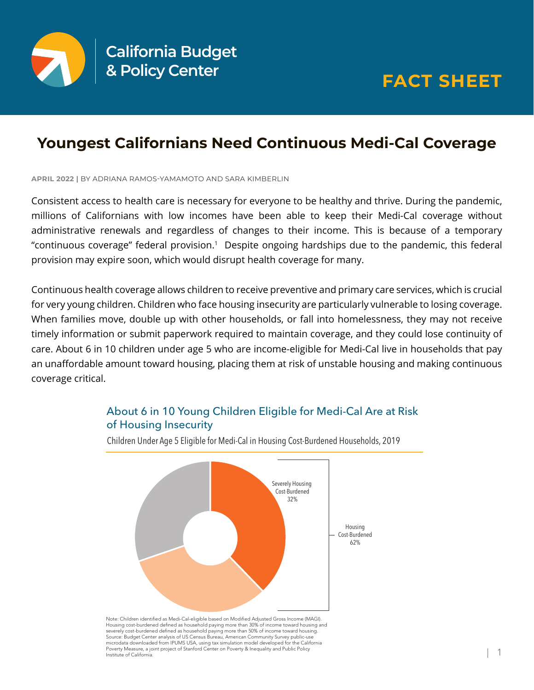

## **Youngest Californians Need Continuous Medi-Cal Coverage**

**APRIL 2022 |** BY ADRIANA RAMOS-YAMAMOTO AND SARA KIMBERLIN

Consistent access to health care is necessary for everyone to be healthy and thrive. During the pandemic, millions of Californians with low incomes have been able to keep their Medi-Cal coverage without administrative renewals and regardless of changes to their income. This is because of a temporary "continuous coverage" federal provision.<sup>1</sup> Despite ongoing hardships due to the pandemic, this federal provision may expire soon, which would disrupt health coverage for many.

Continuous health coverage allows children to receive preventive and primary care services, which is crucial for very young children. Children who face housing insecurity are particularly vulnerable to losing coverage. When families move, double up with other households, or fall into homelessness, they may not receive timely information or submit paperwork required to maintain coverage, and they could lose continuity of care. About 6 in 10 children under age 5 who are income-eligible for Medi-Cal live in households that pay an unaffordable amount toward housing, placing them at risk of unstable housing and making continuous coverage critical.



## About 6 in 10 Young Children Eligible for Medi-Cal Are at Risk of Housing Insecurity

Children Under Age 5 Eligible for Medi-Cal in Housing Cost-Burdened Households, 2019

Housing cost-burdened defined as household paying more than 30% of income toward housing and<br>severely cost-burdened defined as household paying more than 50% of income toward housing. Source: Budget Center analysis of US Census Bureau, American Community Survey public-use microdata downloaded from IPUMS USA, using tax simulation model developed for the California Poverty Measure, a joint project of Stanford Center on Poverty & Inequality and Public Policy Institute of California.